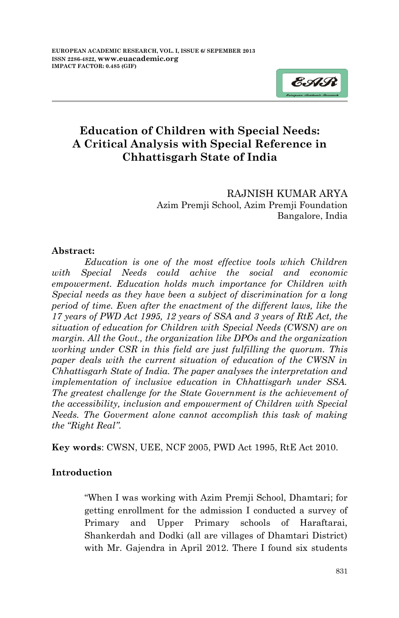

RAJNISH KUMAR ARYA Azim Premji School, Azim Premji Foundation Bangalore, India

### **Abstract:**

*Education is one of the most effective tools which Children with Special Needs could achive the social and economic empowerment. Education holds much importance for Children with Special needs as they have been a subject of discrimination for a long period of time. Even after the enactment of the different laws, like the 17 years of PWD Act 1995, 12 years of SSA and 3 years of RtE Act, the situation of education for Children with Special Needs (CWSN) are on margin. All the Govt., the organization like DPOs and the organization working under CSR in this field are just fulfilling the quorum. This paper deals with the current situation of education of the CWSN in Chhattisgarh State of India. The paper analyses the interpretation and implementation of inclusive education in Chhattisgarh under SSA. The greatest challenge for the State Government is the achievement of the accessibility, inclusion and empowerment of Children with Special Needs. The Goverment alone cannot accomplish this task of making the "Right Real".*

**Key words**: CWSN, UEE, NCF 2005, PWD Act 1995, RtE Act 2010.

## **Introduction**

―When I was working with Azim Premji School, Dhamtari; for getting enrollment for the admission I conducted a survey of Primary and Upper Primary schools of Haraftarai, Shankerdah and Dodki (all are villages of Dhamtari District) with Mr. Gajendra in April 2012. There I found six students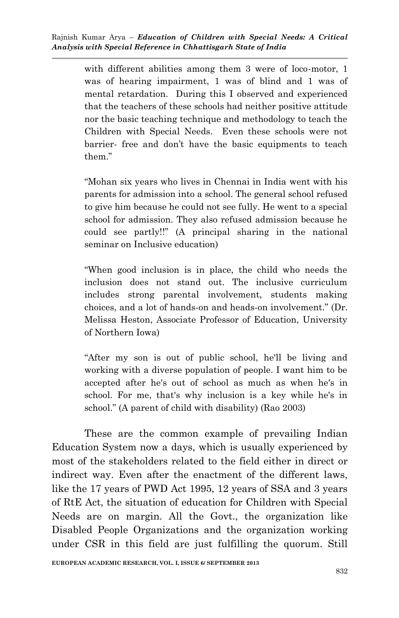with different abilities among them 3 were of loco-motor, 1 was of hearing impairment, 1 was of blind and 1 was of mental retardation. During this I observed and experienced that the teachers of these schools had neither positive attitude nor the basic teaching technique and methodology to teach the Children with Special Needs. Even these schools were not barrier- free and don't have the basic equipments to teach them."

―Mohan six years who lives in Chennai in India went with his parents for admission into a school. The general school refused to give him because he could not see fully. He went to a special school for admission. They also refused admission because he could see partly!!‖ (A principal sharing in the national seminar on Inclusive education)

―When good inclusion is in place, the child who needs the inclusion does not stand out. The inclusive curriculum includes strong parental involvement, students making choices, and a lot of hands-on and heads-on involvement." (Dr. Melissa Heston, Associate Professor of Education, University of Northern Iowa)

―After my son is out of public school, he'll be living and working with a diverse population of people. I want him to be accepted after he's out of school as much as when he's in school. For me, that's why inclusion is a key while he's in school." (A parent of child with disability) (Rao 2003)

These are the common example of prevailing Indian Education System now a days, which is usually experienced by most of the stakeholders related to the field either in direct or indirect way. Even after the enactment of the different laws, like the 17 years of PWD Act 1995, 12 years of SSA and 3 years of RtE Act, the situation of education for Children with Special Needs are on margin. All the Govt., the organization like Disabled People Organizations and the organization working under CSR in this field are just fulfilling the quorum. Still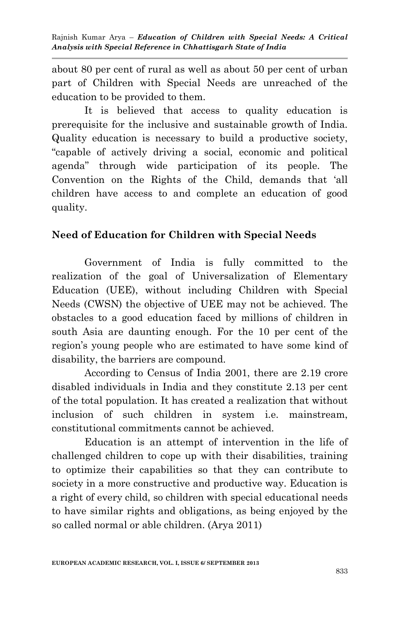about 80 per cent of rural as well as about 50 per cent of urban part of Children with Special Needs are unreached of the education to be provided to them.

It is believed that access to quality education is prerequisite for the inclusive and sustainable growth of India. Quality education is necessary to build a productive society, ―capable of actively driving a social, economic and political agenda" through wide participation of its people. The Convention on the Rights of the Child, demands that 'all children have access to and complete an education of good quality.

# **Need of Education for Children with Special Needs**

Government of India is fully committed to the realization of the goal of Universalization of Elementary Education (UEE), without including Children with Special Needs (CWSN) the objective of UEE may not be achieved. The obstacles to a good education faced by millions of children in south Asia are daunting enough. For the 10 per cent of the region's young people who are estimated to have some kind of disability, the barriers are compound.

According to Census of India 2001, there are 2.19 crore disabled individuals in India and they constitute 2.13 per cent of the total population. It has created a realization that without inclusion of such children in system i.e. mainstream, constitutional commitments cannot be achieved.

Education is an attempt of intervention in the life of challenged children to cope up with their disabilities, training to optimize their capabilities so that they can contribute to society in a more constructive and productive way. Education is a right of every child, so children with special educational needs to have similar rights and obligations, as being enjoyed by the so called normal or able children. (Arya 2011)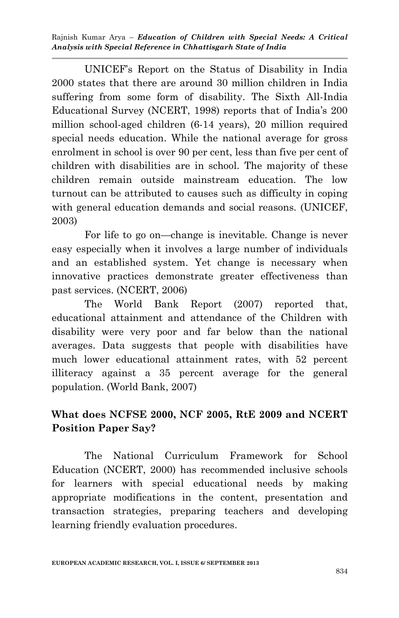UNICEF's Report on the Status of Disability in India 2000 states that there are around 30 million children in India suffering from some form of disability. The Sixth All-India Educational Survey (NCERT, 1998) reports that of India's 200 million school-aged children (6-14 years), 20 million required special needs education. While the national average for gross enrolment in school is over 90 per cent, less than five per cent of children with disabilities are in school. The majority of these children remain outside mainstream education. The low turnout can be attributed to causes such as difficulty in coping with general education demands and social reasons. (UNICEF, 2003)

For life to go on—change is inevitable. Change is never easy especially when it involves a large number of individuals and an established system. Yet change is necessary when innovative practices demonstrate greater effectiveness than past services. (NCERT, 2006)

The World Bank Report (2007) reported that, educational attainment and attendance of the Children with disability were very poor and far below than the national averages. Data suggests that people with disabilities have much lower educational attainment rates, with 52 percent illiteracy against a 35 percent average for the general population. (World Bank, 2007)

# **What does NCFSE 2000, NCF 2005, RtE 2009 and NCERT Position Paper Say?**

The National Curriculum Framework for School Education (NCERT, 2000) has recommended inclusive schools for learners with special educational needs by making appropriate modifications in the content, presentation and transaction strategies, preparing teachers and developing learning friendly evaluation procedures.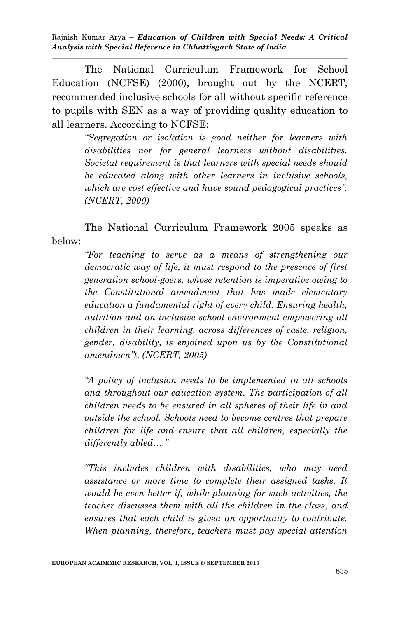The National Curriculum Framework for School Education (NCFSE) (2000), brought out by the NCERT, recommended inclusive schools for all without specific reference to pupils with SEN as a way of providing quality education to all learners. According to NCFSE:

> *"Segregation or isolation is good neither for learners with disabilities nor for general learners without disabilities. Societal requirement is that learners with special needs should be educated along with other learners in inclusive schools, which are cost effective and have sound pedagogical practices". (NCERT, 2000)*

The National Curriculum Framework 2005 speaks as below:

> *"For teaching to serve as a means of strengthening our democratic way of life, it must respond to the presence of first generation school-goers, whose retention is imperative owing to the Constitutional amendment that has made elementary education a fundamental right of every child. Ensuring health, nutrition and an inclusive school environment empowering all children in their learning, across differences of caste, religion, gender, disability, is enjoined upon us by the Constitutional amendmen"t. (NCERT, 2005)*

> *"A policy of inclusion needs to be implemented in all schools and throughout our education system. The participation of all children needs to be ensured in all spheres of their life in and outside the school. Schools need to become centres that prepare children for life and ensure that all children, especially the differently abled…."*

> *"This includes children with disabilities, who may need assistance or more time to complete their assigned tasks. It would be even better if, while planning for such activities, the teacher discusses them with all the children in the class, and ensures that each child is given an opportunity to contribute. When planning, therefore, teachers must pay special attention*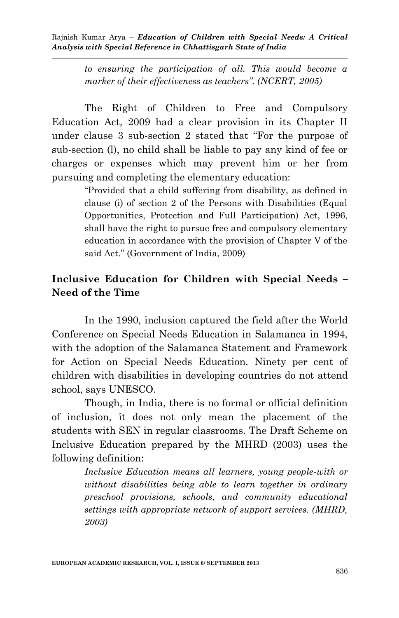> *to ensuring the participation of all. This would become a marker of their effectiveness as teachers". (NCERT, 2005)*

The Right of Children to Free and Compulsory Education Act, 2009 had a clear provision in its Chapter II under clause  $3$  sub-section  $2$  stated that "For the purpose of sub-section (l), no child shall be liable to pay any kind of fee or charges or expenses which may prevent him or her from pursuing and completing the elementary education:

> ―Provided that a child suffering from disability, as defined in clause (i) of section 2 of the Persons with Disabilities (Equal Opportunities, Protection and Full Participation) Act, 1996, shall have the right to pursue free and compulsory elementary education in accordance with the provision of Chapter V of the said Act." (Government of India, 2009)

# **Inclusive Education for Children with Special Needs – Need of the Time**

In the 1990, inclusion captured the field after the World Conference on Special Needs Education in Salamanca in 1994, with the adoption of the Salamanca Statement and Framework for Action on Special Needs Education. Ninety per cent of children with disabilities in developing countries do not attend school, says UNESCO.

Though, in India, there is no formal or official definition of inclusion, it does not only mean the placement of the students with SEN in regular classrooms. The Draft Scheme on Inclusive Education prepared by the MHRD (2003) uses the following definition:

> *Inclusive Education means all learners, young people-with or without disabilities being able to learn together in ordinary preschool provisions, schools, and community educational settings with appropriate network of support services. (MHRD, 2003)*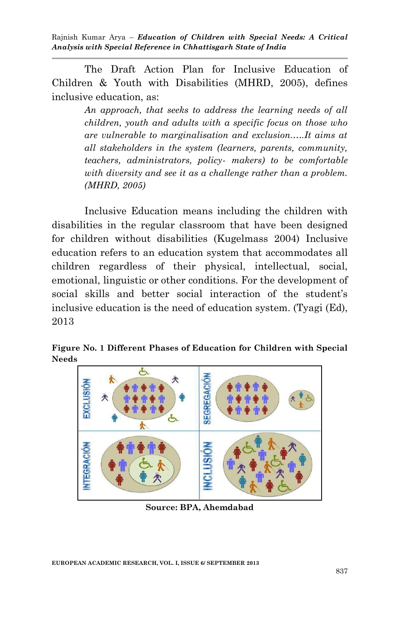The Draft Action Plan for Inclusive Education of Children & Youth with Disabilities (MHRD, 2005), defines inclusive education, as:

> *An approach, that seeks to address the learning needs of all children, youth and adults with a specific focus on those who are vulnerable to marginalisation and exclusion.….It aims at all stakeholders in the system (learners, parents, community, teachers, administrators, policy- makers) to be comfortable with diversity and see it as a challenge rather than a problem. (MHRD, 2005)*

Inclusive Education means including the children with disabilities in the regular classroom that have been designed for children without disabilities (Kugelmass 2004) Inclusive education refers to an education system that accommodates all children regardless of their physical, intellectual, social, emotional, linguistic or other conditions. For the development of social skills and better social interaction of the student's inclusive education is the need of education system. (Tyagi (Ed), 2013

**Figure No. 1 Different Phases of Education for Children with Special Needs**



**Source: BPA, Ahemdabad**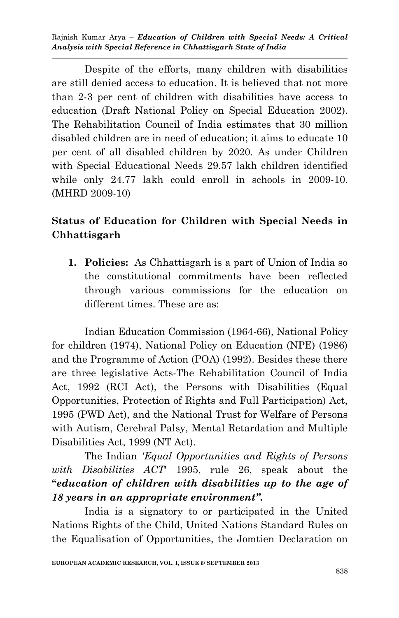Despite of the efforts, many children with disabilities are still denied access to education. It is believed that not more than 2-3 per cent of children with disabilities have access to education (Draft National Policy on Special Education 2002). The Rehabilitation Council of India estimates that 30 million disabled children are in need of education; it aims to educate 10 per cent of all disabled children by 2020. As under Children with Special Educational Needs 29.57 lakh children identified while only 24.77 lakh could enroll in schools in 2009-10. (MHRD 2009-10)

# **Status of Education for Children with Special Needs in Chhattisgarh**

**1. Policies:** As Chhattisgarh is a part of Union of India so the constitutional commitments have been reflected through various commissions for the education on different times. These are as:

Indian Education Commission (1964-66), National Policy for children (1974), National Policy on Education (NPE) (1986) and the Programme of Action (POA) (1992). Besides these there are three legislative Acts-The Rehabilitation Council of India Act, 1992 (RCI Act), the Persons with Disabilities (Equal Opportunities, Protection of Rights and Full Participation) Act, 1995 (PWD Act), and the National Trust for Welfare of Persons with Autism, Cerebral Palsy, Mental Retardation and Multiple Disabilities Act, 1999 (NT Act).

The Indian *'Equal Opportunities and Rights of Persons with Disabilities ACT*' 1995, rule 26, speak about the **"***education of children with disabilities up to the age of 18 years in an appropriate environment".*

India is a signatory to or participated in the United Nations Rights of the Child, United Nations Standard Rules on the Equalisation of Opportunities, the Jomtien Declaration on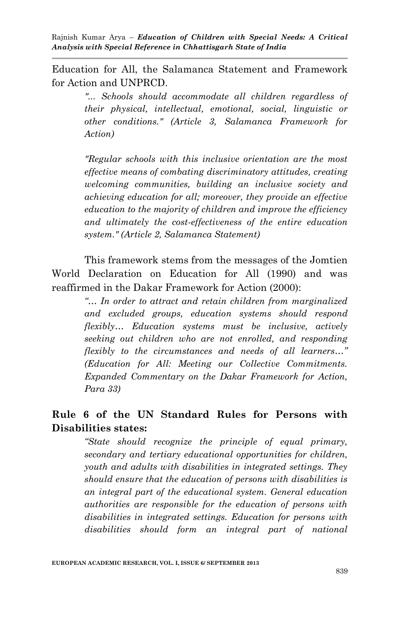Education for All, the Salamanca Statement and Framework for Action and UNPRCD.

> *"... Schools should accommodate all children regardless of their physical, intellectual, emotional, social, linguistic or other conditions." (Article 3, Salamanca Framework for Action)*

> *"Regular schools with this inclusive orientation are the most effective means of combating discriminatory attitudes, creating welcoming communities, building an inclusive society and achieving education for all; moreover, they provide an effective education to the majority of children and improve the efficiency and ultimately the cost-effectiveness of the entire education system." (Article 2, Salamanca Statement)*

This framework stems from the messages of the Jomtien World Declaration on Education for All (1990) and was reaffirmed in the Dakar Framework for Action (2000):

> *"… In order to attract and retain children from marginalized and excluded groups, education systems should respond flexibly… Education systems must be inclusive, actively seeking out children who are not enrolled, and responding flexibly to the circumstances and needs of all learners…" (Education for All: Meeting our Collective Commitments. Expanded Commentary on the Dakar Framework for Action, Para 33)*

## **Rule 6 of the UN Standard Rules for Persons with Disabilities states:**

*"State should recognize the principle of equal primary, secondary and tertiary educational opportunities for children, youth and adults with disabilities in integrated settings. They should ensure that the education of persons with disabilities is an integral part of the educational system. General education authorities are responsible for the education of persons with disabilities in integrated settings. Education for persons with disabilities should form an integral part of national*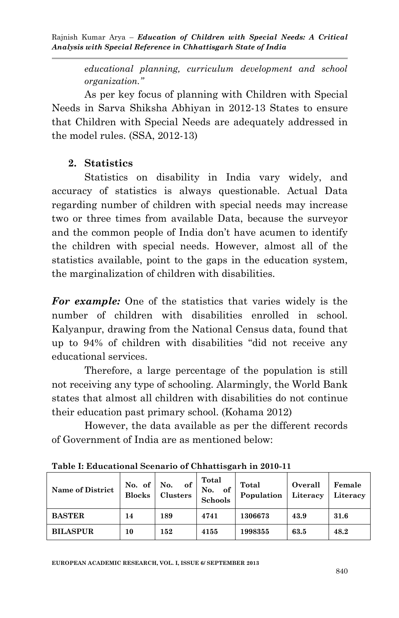> *educational planning, curriculum development and school organization."*

As per key focus of planning with Children with Special Needs in Sarva Shiksha Abhiyan in 2012-13 States to ensure that Children with Special Needs are adequately addressed in the model rules. (SSA, 2012-13)

## **2. Statistics**

Statistics on disability in India vary widely, and accuracy of statistics is always questionable. Actual Data regarding number of children with special needs may increase two or three times from available Data, because the surveyor and the common people of India don't have acumen to identify the children with special needs. However, almost all of the statistics available, point to the gaps in the education system, the marginalization of children with disabilities.

*For example:* One of the statistics that varies widely is the number of children with disabilities enrolled in school. Kalyanpur, drawing from the National Census data, found that up to 94% of children with disabilities "did not receive any educational services.

Therefore, a large percentage of the population is still not receiving any type of schooling. Alarmingly, the World Bank states that almost all children with disabilities do not continue their education past primary school. (Kohama 2012)

However, the data available as per the different records of Government of India are as mentioned below:

| <b>Name of District</b> | No. of $\vert$<br><b>Blocks</b> | No.<br>оf<br>Clusters | Total<br>No.<br>оf<br><b>Schools</b> | Total<br>Population | Overall<br>Literacy | Female<br>Literacy |
|-------------------------|---------------------------------|-----------------------|--------------------------------------|---------------------|---------------------|--------------------|
| <b>BASTER</b>           | 14                              | 189                   | 4741                                 | 1306673             | 43.9                | 31.6               |
| <b>BILASPUR</b>         | 10                              | 152                   | 4155                                 | 1998355             | 63.5                | 48.2               |

**Table I: Educational Scenario of Chhattisgarh in 2010-11**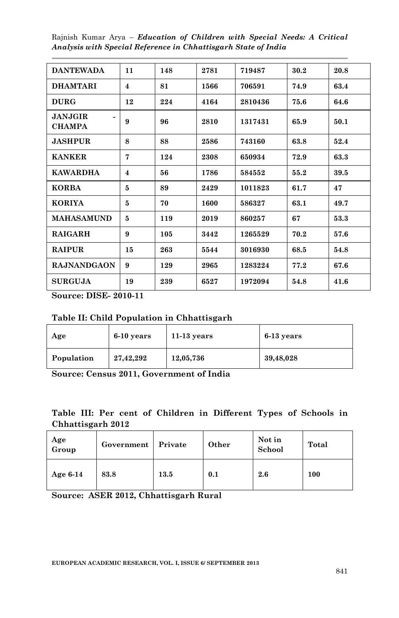| <b>DANTEWADA</b>                | 11                      | 148 | 2781 | 719487  | 30.2 | 20.8 |
|---------------------------------|-------------------------|-----|------|---------|------|------|
|                                 |                         |     |      |         |      |      |
| <b>DHAMTARI</b>                 | 4                       | 81  | 1566 | 706591  | 74.9 | 63.4 |
| <b>DURG</b>                     | 12                      | 224 | 4164 | 2810436 | 75.6 | 64.6 |
| <b>JANJGIR</b><br><b>CHAMPA</b> | 9                       | 96  | 2810 | 1317431 | 65.9 | 50.1 |
| <b>JASHPUR</b>                  | 8                       | 88  | 2586 | 743160  | 63.8 | 52.4 |
| <b>KANKER</b>                   | $\overline{7}$          | 124 | 2308 | 650934  | 72.9 | 63.3 |
| <b>KAWARDHA</b>                 | $\overline{\mathbf{4}}$ | 56  | 1786 | 584552  | 55.2 | 39.5 |
| <b>KORBA</b>                    | 5                       | 89  | 2429 | 1011823 | 61.7 | 47   |
| <b>KORIYA</b>                   | 5                       | 70  | 1600 | 586327  | 63.1 | 49.7 |
| <b>MAHASAMUND</b>               | 5                       | 119 | 2019 | 860257  | 67   | 53.3 |
| <b>RAIGARH</b>                  | 9                       | 105 | 3442 | 1265529 | 70.2 | 57.6 |
| <b>RAIPUR</b>                   | 15                      | 263 | 5544 | 3016930 | 68.5 | 54.8 |
| <b>RAJNANDGAON</b>              | 9                       | 129 | 2965 | 1283224 | 77.2 | 67.6 |
| <b>SURGUJA</b>                  | 19                      | 239 | 6527 | 1972094 | 54.8 | 41.6 |

**Source: DISE- 2010-11**

#### **Table II: Child Population in Chhattisgarh**

| Age        | $6-10$ years | $11-13$ years | $6-13$ years |
|------------|--------------|---------------|--------------|
| Population | 27,42,292    | 12,05,736     | 39,48,028    |

**Source: Census 2011, Government of India**

## **Table III: Per cent of Children in Different Types of Schools in Chhattisgarh 2012**

| Age<br>Group | Government | Private | Other | Not in<br>School | Total |
|--------------|------------|---------|-------|------------------|-------|
| Age $6-14$   | 83.8       | 13.5    | 0.1   | 2.6              | 100   |

**Source: ASER 2012, Chhattisgarh Rural**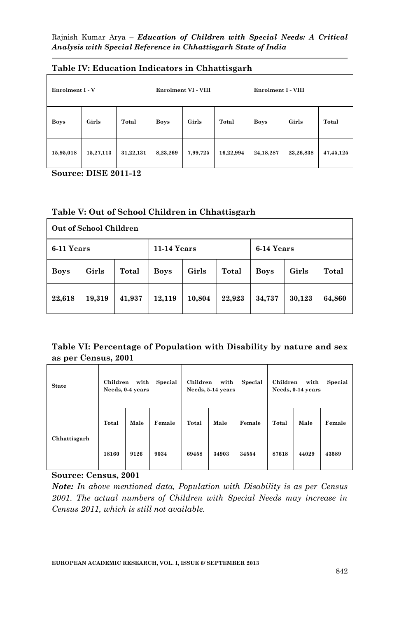| Enrolment I - V |           |           |             | Enrolment VI - VIII |           | Enrolment I - VIII |           |             |
|-----------------|-----------|-----------|-------------|---------------------|-----------|--------------------|-----------|-------------|
| <b>Boys</b>     | Girls     | Total     | <b>Boys</b> | Girls               | Total     | <b>Boys</b>        | Girls     | Total       |
| 15,95,018       | 15,27,113 | 31,22,131 | 8,23,269    | 7,99,725            | 16,22,994 | 24, 18, 287        | 23,26,838 | 47, 45, 125 |

#### **Table IV: Education Indicators in Chhattisgarh**

**Source: DISE 2011-12**

#### **Table V: Out of School Children in Chhattisgarh**

|             | Out of School Children |        |             |        |        |             |        |        |
|-------------|------------------------|--------|-------------|--------|--------|-------------|--------|--------|
| 6-11 Years  |                        |        | 11-14 Years |        |        | 6-14 Years  |        |        |
| <b>Boys</b> | Girls                  | Total  | <b>Boys</b> | Girls  | Total  | <b>Boys</b> | Girls  | Total  |
| 22,618      | 19,319                 | 41,937 | 12,119      | 10,804 | 22,923 | 34,737      | 30,123 | 64,860 |

### **Table VI: Percentage of Population with Disability by nature and sex as per Census, 2001**

| <b>State</b> | Children | with<br>Needs, 0-4 years | Special | Children | with<br>Needs, 5-14 years | Special | Children | with<br>Needs, 0-14 years | Special |
|--------------|----------|--------------------------|---------|----------|---------------------------|---------|----------|---------------------------|---------|
| Chhattisgarh | Total    | Male                     | Female  | Total    | Male                      | Female  | Total    | Male                      | Female  |
|              | 18160    | 9126                     | 9034    | 69458    | 34903                     | 34554   | 87618    | 44029                     | 43589   |

#### **Source: Census, 2001**

*Note: In above mentioned data, Population with Disability is as per Census 2001. The actual numbers of Children with Special Needs may increase in Census 2011, which is still not available.*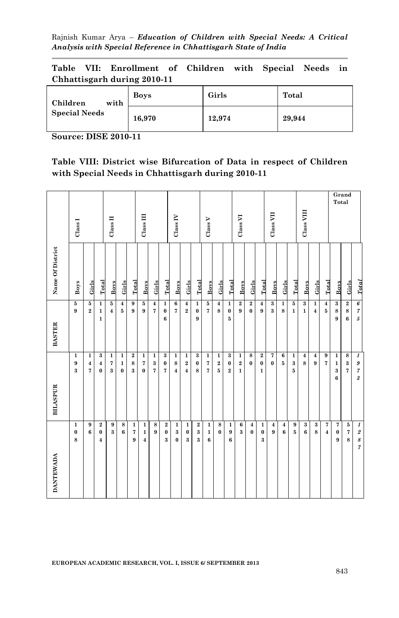**Table VII: Enrollment of Children with Special Needs in Chhattisgarh during 2010-11**

| with<br>Children     | <b>Boys</b> | Girls  | Total  |
|----------------------|-------------|--------|--------|
| <b>Special Needs</b> | 16,970      | 12,974 | 29,944 |

**Source: DISE 2010-11**

|  |  | Table VIII: District wise Bifurcation of Data in respect of Children |  |  |  |
|--|--|----------------------------------------------------------------------|--|--|--|
|  |  | with Special Needs in Chhattisgarh during 2010-11                    |  |  |  |

|                  | Class I                |                                                   |                                                        | Class II                                |                                         |                                                                  | Class III                                              |                                 |                                          | Class IV                                         |                                                   |                                 | Class V                                                   |                                   |                                        | Class VI                              |                            |                                      | Class VII                           |                            |                                        | Class VIII                              |                                           |                                      | Total                                       | Grand                                |                                                                 |
|------------------|------------------------|---------------------------------------------------|--------------------------------------------------------|-----------------------------------------|-----------------------------------------|------------------------------------------------------------------|--------------------------------------------------------|---------------------------------|------------------------------------------|--------------------------------------------------|---------------------------------------------------|---------------------------------|-----------------------------------------------------------|-----------------------------------|----------------------------------------|---------------------------------------|----------------------------|--------------------------------------|-------------------------------------|----------------------------|----------------------------------------|-----------------------------------------|-------------------------------------------|--------------------------------------|---------------------------------------------|--------------------------------------|-----------------------------------------------------------------|
| Name Of District | Boys                   | Girls                                             | Total                                                  | Boys                                    | Girls                                   | <b>Total</b>                                                     | <b>Boys</b>                                            | Girls                           | Total                                    | <b>Boys</b>                                      | Girls                                             | <b>Total</b>                    | <b>Boys</b>                                               | Girls                             | Total                                  | Boys                                  | Girls                      | Total                                | Boys                                | Girls                      | Total                                  | <b>Boys</b>                             | Girls                                     | Total                                | <b>Boys</b>                                 | Girls                                | <b>Total</b>                                                    |
| <b>BASTER</b>    | 5<br>9                 | $\overline{\mathbf{5}}$<br>$\overline{2}$         | $\overline{1}$<br>$\mathbf 1$<br>$\mathbf{1}$          | 5<br>$\overline{\mathbf{4}}$            | $\boldsymbol{4}$<br>$5\phantom{.0}$     | $\overline{9}$<br>9                                              | $\overline{\mathbf{5}}$<br>9                           | $\boldsymbol{4}$<br>7           | $\overline{1}$<br>$\pmb{0}$<br>$\bf{6}$  | $\overline{\mathbf{6}}$<br>7                     | $\overline{\mathbf{4}}$<br>$\bf 2$                | $\mathbf 1$<br>$\bf{0}$<br>9    | $\overline{\mathbf{5}}$<br>$\overline{7}$                 | $\overline{4}$<br>$\bf8$          | $\overline{1}$<br>$\pmb{0}$<br>$\bf 5$ | $\overline{2}$<br>$\bf{9}$            | $\overline{2}$<br>$\bf{0}$ | $\boldsymbol{4}$<br>$\boldsymbol{9}$ | $\overline{\mathbf{3}}$<br>$\bf{3}$ | $\overline{1}$<br>8        | $\overline{\mathbf{5}}$<br>$\mathbf 1$ | $\overline{\mathbf{3}}$<br>$\mathbf{1}$ | $\overline{1}$<br>$\overline{\mathbf{4}}$ | $\overline{\mathbf{4}}$<br>${\bf 5}$ | $\overline{\mathbf{3}}$<br>$\bf8$<br>9      | $\overline{2}$<br>$\bf8$<br>$\bf{6}$ | $\overline{6}$<br>$\boldsymbol{7}$<br>$\sqrt{5}$                |
| <b>BILASPUR</b>  | 1<br>9<br>3            | $\mathbf 1$<br>$\boldsymbol{4}$<br>$\overline{7}$ | $\bf{3}$<br>$\bf{4}$<br>$\bf{0}$                       | $\mathbf{1}$<br>$\overline{\bf 7}$<br>3 | $\mathbf 1$<br>$\mathbf{1}$<br>$\bf{0}$ | $\begin{array}{c} 2 \\ 8 \end{array}$<br>$\overline{\mathbf{3}}$ | $\mathbf 1$<br>$\bf 7$<br>$\bf{0}$                     | 1<br>$\bf{3}$<br>$\overline{7}$ | $\bf{3}$<br>$\pmb{0}$<br>$\overline{7}$  | $\mathbf 1$<br>$\bf8$<br>$\overline{\mathbf{4}}$ | $\mathbf 1$<br>$\bf 2$<br>$\overline{\mathbf{4}}$ | $\bf{3}$<br>$\pmb{0}$<br>8      | $\mathbf{1}$<br>$\overline{\mathbf{7}}$<br>$\overline{7}$ | $\mathbf 1$<br>$\,2\,$<br>$\bf 5$ | $\bf{3}$<br>$\pmb{0}$<br>$\bf 2$       | $\mathbf 1$<br>$\,2\,$<br>$\mathbf 1$ | $\bf8$<br>$\mathbf{0}$     | $\bf 2$<br>$\pmb{0}$<br>$\mathbf{1}$ | 7<br>$\bf{0}$                       | $\bf 6$<br>$5\phantom{.0}$ | 1<br>$\bf{3}$<br>5                     | $\bf{4}$<br>8                           | $\boldsymbol{4}$<br>9                     | $\boldsymbol{9}$<br>$\overline{7}$   | $\mathbf 1$<br>$\mathbf 1$<br>$\bf{3}$<br>6 | $\bf8$<br>$\bf{3}$<br>$\overline{7}$ | $\boldsymbol{1}$<br>$\pmb{g}$<br>$\boldsymbol{7}$<br>$\sqrt{3}$ |
| <b>DANTEWADA</b> | $\mathbf{1}$<br>0<br>8 | $\boldsymbol{9}$<br>$6\phantom{1}6$               | $\overline{2}$<br>$\pmb{0}$<br>$\overline{\mathbf{4}}$ | $\boldsymbol{9}$<br>$\bf{3}$            | $\bf8$<br>$\bf{6}$                      | $\mathbf 1$<br>$\bf 7$<br>9                                      | $\mathbf 1$<br>$\mathbf{1}$<br>$\overline{\mathbf{4}}$ | $\bf8$<br>9                     | $\overline{\mathbf{2}}$<br>$\bf{0}$<br>3 | $\mathbf 1$<br>$\bf{3}$<br>$\bf{0}$              | $\mathbf 1$<br>$\pmb{0}$<br>$\bf{3}$              | $\,2\,$<br>$\bf{3}$<br>$\bf{3}$ | $\mathbf 1$<br>$\mathbf 1$<br>$6\phantom{a}$              | $\bf8$<br>$\bf{0}$                | $\mathbf 1$<br>$\boldsymbol{9}$<br>6   | $\bf 6$<br>$\bf{3}$                   | $\bf{4}$<br>$\bf{0}$       | $\mathbf{1}$<br>$\pmb{0}$<br>3       | $\overline{\mathbf{4}}$<br>9        | $\boldsymbol{4}$<br>6      | $\boldsymbol{9}$<br>${\bf 5}$          | $\bf{3}$<br>$\bf{6}$                    | $\bf{3}$<br>8                             | $\bf 7$<br>$\overline{4}$            | $\bf 7$<br>0<br>9                           | ${\bf 5}$<br>$\bf 7$<br>8            | $\boldsymbol{1}$<br>$\begin{array}{c} 2 \\ 8 \\ 7 \end{array}$  |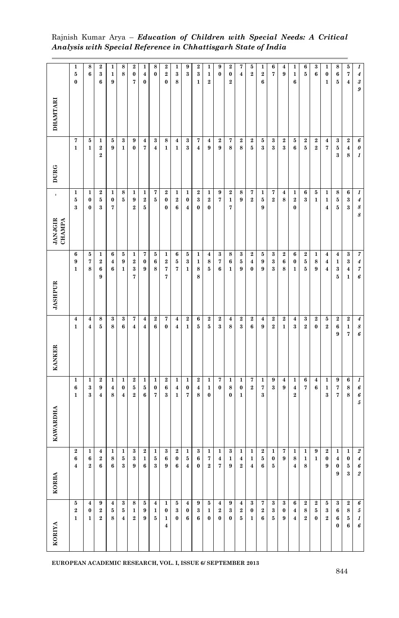| <b>DHAMTARI</b>                                   | 1<br>5<br>$\bf{0}$                        | 8<br>6                                       | $\boldsymbol{2}$<br>3<br>6                       | 1<br>$\mathbf{1}$<br>9       | 8<br>8                                        | $\bf 2$<br>$\pmb{0}$<br>7                   | 1<br>$\boldsymbol{4}$<br>$\pmb{0}$          | 8<br>0                              | $\bf{2}$<br>$\bf 2$<br>$\bf{0}$                       | 1<br>3<br>8                                      | 9<br>$\bf{3}$                                       | $\boldsymbol{2}$<br>3<br>$\mathbf{1}$     | 1<br>$\mathbf 1$<br>$\bf 2$                    | 9<br>$\bf{0}$                            | $\bf 2$<br>$\boldsymbol{0}$<br>$\overline{2}$ | 7<br>$\overline{\mathbf{4}}$                                      | 5<br>$\bf 2$                                          | 1<br>$\bf{2}$<br>6      | 6<br>$\overline{7}$                        | 4<br>9                             | 1<br>$\mathbf 1$<br>6                      | 6<br>$\bf 5$                         | 3<br>6                             | 1<br>$\boldsymbol{0}$<br>$\mathbf{1}$                   | 8<br>6<br>5                                       | $\bf 5$<br>7<br>$\overline{\mathbf{4}}$                         | 1<br>$\boldsymbol{4}$<br>$\boldsymbol{\mathcal{S}}$<br>9 |
|---------------------------------------------------|-------------------------------------------|----------------------------------------------|--------------------------------------------------|------------------------------|-----------------------------------------------|---------------------------------------------|---------------------------------------------|-------------------------------------|-------------------------------------------------------|--------------------------------------------------|-----------------------------------------------------|-------------------------------------------|------------------------------------------------|------------------------------------------|-----------------------------------------------|-------------------------------------------------------------------|-------------------------------------------------------|-------------------------|--------------------------------------------|------------------------------------|--------------------------------------------|--------------------------------------|------------------------------------|---------------------------------------------------------|---------------------------------------------------|-----------------------------------------------------------------|----------------------------------------------------------|
| <b>DURG</b>                                       | 7<br>$\mathbf{1}$                         | 5<br>$\mathbf{1}$                            | 1<br>$\boldsymbol{2}$<br>$\overline{2}$          | $\bf 5$<br>$\boldsymbol{9}$  | $\bf{3}$<br>$\mathbf{1}$                      | 9<br>$\bf{0}$                               | $\bf{4}$<br>7                               | $\bf{3}$<br>$\overline{\mathbf{4}}$ | 8<br>$\mathbf{1}$                                     | $\boldsymbol{4}$<br>$\mathbf{1}$                 | 3<br>3                                              | 7<br>$\overline{\bf 4}$                   | $\boldsymbol{4}$<br>9                          | $\boldsymbol{2}$<br>$\boldsymbol{9}$     | 7<br>8                                        | $\boldsymbol{2}$<br>8                                             | $\boldsymbol{2}$<br>5                                 | 5<br>3                  | $\bf{3}$<br>$\bf{3}$                       | $\bf{2}$<br>$\bf{3}$               | $\bf 5$<br>6                               | $\bf 2$<br>$\bf 5$                   | $\bf 2$<br>$\overline{\mathbf{2}}$ | $\overline{\mathbf{4}}$<br>7                            | $\bf{3}$<br>$\bf 5$<br>3                          | $\bf 2$<br>$\bf{4}$<br>8                                        | 6<br>$\pmb{\theta}$<br>$\boldsymbol{1}$                  |
| $\blacksquare$<br><b>JANJGIR</b><br><b>CHAMPA</b> | $\mathbf 1$<br>5<br>$\bf{3}$              | $\mathbf{1}$<br>$\boldsymbol{0}$<br>$\bf{0}$ | $\boldsymbol{2}$<br>5<br>3                       | 1<br>$\boldsymbol{0}$<br>7   | 8<br>$\bf 5$                                  | $\mathbf{1}$<br>$\boldsymbol{9}$<br>$\bf 2$ | $\mathbf{1}$<br>$\bf 2$<br>$\bf 5$          | 7<br>$\bf 5$                        | $\bf 2$<br>$\pmb{0}$<br>$\bf{0}$                      | 1<br>$\bf 2$<br>6                                | $\mathbf 1$<br>$\boldsymbol{0}$<br>$\boldsymbol{4}$ | $\boldsymbol{2}$<br>$\bf{3}$<br>0         | 1<br>$\bf 2$<br>$\boldsymbol{0}$               | 9<br>$\overline{7}$                      | $\bf 2$<br>$\mathbf{1}$<br>7                  | 8<br>9                                                            | 7<br>$\bf 2$                                          | 1<br>$\bf 5$<br>9       | 7<br>$\bf 2$                               | 4<br>8                             | 1<br>$\bf 2$<br>$\pmb{0}$                  | 6<br>$\bf{3}$                        | 5<br>$\mathbf{1}$                  | 1<br>$\mathbf 1$<br>$\boldsymbol{4}$                    | 8<br>5<br>5                                       | 6<br>$\bf{3}$<br>$\bf{3}$                                       | $\boldsymbol{1}$<br>$\boldsymbol{4}$<br>8<br>8           |
| <b>JASHPUR</b>                                    | 6<br>9<br>1                               | 5<br>7<br>8                                  | 1<br>$\boldsymbol{2}$<br>6<br>9                  | 6<br>$\bf{4}$<br>6           | 5<br>9<br>$\mathbf{1}$                        | $\mathbf{1}$<br>$\bf{2}$<br>$\bf{3}$<br>7   | 7<br>$\bf{0}$<br>9                          | $\bf 5$<br>6<br>8                   | $\mathbf{1}$<br>$\bf{2}$<br>7<br>7                    | 6<br>5<br>7                                      | ${\bf 5}$<br>3<br>$\mathbf{1}$                      | 1<br>1<br>8<br>8                          | $\boldsymbol{4}$<br>8<br>5                     | $\bf{3}$<br>7<br>6                       | $\bf8$<br>6<br>$\mathbf{1}$                   | $\bf{3}$<br>$\bf 5$<br>9                                          | $\bf{2}$<br>$\boldsymbol{4}$<br>$\boldsymbol{0}$      | $\bf 5$<br>9<br>9       | $\bf{3}$<br>3<br>3                         | $\bf{2}$<br>6<br>8                 | 6<br>0<br>1                                | $\bf 2$<br>5<br>$\bf 5$              | $\mathbf{1}$<br>8<br>9             | $\bf{4}$<br>$\boldsymbol{4}$<br>$\overline{\mathbf{4}}$ | $\bf{4}$<br>$\mathbf{1}$<br>3<br>5                | $\bf{3}$<br>$\bf{3}$<br>$\overline{\mathbf{4}}$<br>$\mathbf{1}$ | $\boldsymbol{7}$<br>$\boldsymbol{4}$<br>7<br>6           |
| <b>KANKER</b>                                     | $\overline{\mathbf{4}}$<br>$\mathbf{1}$   | $\overline{\mathbf{4}}$<br>4                 | 8<br>5                                           | $\bf{3}$<br>8                | $\bf{3}$<br>6                                 | 7<br>$\boldsymbol{4}$                       | $\overline{\mathbf{4}}$<br>$\boldsymbol{4}$ | $\bf 2$<br>6                        | 7<br>$\bf{0}$                                         | $\boldsymbol{4}$<br>$\boldsymbol{4}$             | $\boldsymbol{2}$<br>$\mathbf{1}$                    | 6<br>5                                    | $\bf{2}$<br>$\bf 5$                            | $\bf 2$<br>3                             | $\boldsymbol{4}$<br>8                         | $\bf{2}$<br>$\bf{3}$                                              | $\bf 2$<br>6                                          | $\boldsymbol{4}$<br>9   | $\bf{2}$<br>$\bf 2$                        | $\bf 2$<br>$\mathbf{1}$            | $\bf{4}$<br>$\bf{3}$                       | $\bf{3}$<br>$\boldsymbol{2}$         | $\bf 2$<br>0                       | $\bf 5$<br>$\bf 2$                                      | $\bf 2$<br>6<br>9                                 | $\bf 2$<br>$\mathbf 1$<br>7                                     | $\pmb{4}$<br>$\boldsymbol{s}$<br>6                       |
| KAWARDHA                                          | $\mathbf 1$<br>6<br>1                     | 1<br>3<br>3                                  | $\boldsymbol{2}$<br>9<br>$\boldsymbol{4}$        | $\mathbf 1$<br>$\bf{4}$<br>8 | $\mathbf{1}$<br>$\pmb{0}$<br>$\boldsymbol{4}$ | $\bf 2$<br>5<br>$\bf 2$                     | $\mathbf 1$<br>${\bf 5}$<br>6               | $\mathbf 1$<br>0<br>7               | $\bf{2}$<br>6<br>$\bf{3}$                             | $\mathbf{1}$<br>$\boldsymbol{4}$<br>$\mathbf{1}$ | $\mathbf 1$<br>0<br>7                               | $\boldsymbol{2}$<br>$\boldsymbol{4}$<br>8 | $\mathbf 1$<br>$\mathbf 1$<br>$\boldsymbol{0}$ | 7<br>0                                   | $\mathbf 1$<br>8<br>$\bf{0}$                  | $\mathbf 1$<br>$\pmb{0}$<br>$\mathbf 1$                           | 7<br>$\overline{2}$                                   | $\mathbf 1$<br>7<br>3   | 9<br>$\bf{3}$                              | $\boldsymbol{4}$<br>9              | $\mathbf 1$<br>$\boldsymbol{4}$<br>$\bf 2$ | 6<br>7                               | $\bf{4}$<br>6                      | $\mathbf 1$<br>$\mathbf 1$<br>3                         | 9<br>7<br>7                                       | 6<br>8<br>8                                                     | 1<br>6<br>6<br>5                                         |
| KORBA                                             | $\boldsymbol{2}$<br>6<br>$\boldsymbol{4}$ | $\mathbf 1$<br>6<br>2                        | $\boldsymbol{4}$<br>$\overline{\mathbf{2}}$<br>6 | 1<br>$\bf8$<br>$\bf 6$       | $\mathbf 1$<br>$\bf 5$<br>$\bf{3}$            | $\bf{3}$<br>$\bf{3}$<br>$\boldsymbol{9}$    | $\bf{2}$<br>$\mathbf 1$<br>6                | $\mathbf{1}$<br>$\bf 5$<br>$\bf{3}$ | $\bf{3}$<br>6<br>9                                    | $\boldsymbol{2}$<br>$\boldsymbol{0}$<br>6        | $\mathbf 1$<br>5<br>$\bf{4}$                        | 3<br>6<br>0                               | $\mathbf 1$<br>7<br>$\bf{2}$                   | $\mathbf 1$<br>$\boldsymbol{4}$<br>7     | 3<br>$\mathbf 1$<br>9                         | $\mathbf 1$<br>$\overline{\mathbf{4}}$<br>$\overline{\mathbf{2}}$ | $\mathbf 1$<br>$\mathbf 1$<br>$\overline{\mathbf{4}}$ | $\bf 2$<br>$\bf 5$<br>6 | $\mathbf 1$<br>$\boldsymbol{0}$<br>$\bf 5$ | 7<br>9                             | $\mathbf 1$<br>8<br>$\bf{4}$               | $\mathbf 1$<br>$\mathbf 1$<br>$\bf8$ | 9<br>$\mathbf{1}$                  | $\boldsymbol{2}$<br>$\pmb{0}$<br>$\boldsymbol{9}$       | $\mathbf 1$<br>$\boldsymbol{4}$<br>$\pmb{0}$<br>9 | $\mathbf 1$<br>$\boldsymbol{0}$<br>${\bf 5}$<br>3               | $\overline{2}$<br>$\boldsymbol{4}$<br>6<br>$\it 2$       |
| KORIYA                                            | $\bf 5$<br>$\bf 2$<br>$\mathbf{1}$        | $\bf{4}$<br>$\pmb{0}$<br>$\mathbf{1}$        | 9<br>$\bf 2$<br>$\bf 2$                          | $\bf{4}$<br>$\bf 5$<br>8     | $\bf{3}$<br>$\bf 5$<br>$\boldsymbol{4}$       | $\bf8$<br>$\mathbf 1$<br>$\bf 2$            | $\bf 5$<br>$\boldsymbol{9}$<br>9            | $\bf{4}$<br>$\mathbf 1$<br>$\bf 5$  | $\mathbf{1}$<br>$\boldsymbol{0}$<br>$\mathbf{1}$<br>4 | $\bf 5$<br>$\bf{3}$<br>$\pmb{0}$                 | $\bf{4}$<br>$\boldsymbol{0}$<br>6                   | 9<br>3<br>6                               | ${\bf 5}$<br>$\mathbf{1}$<br>$\pmb{0}$         | $\boldsymbol{4}$<br>$\bf 2$<br>$\pmb{0}$ | 9<br>$\bf{3}$<br>$\bf{0}$                     | $\bf{4}$<br>$\bf 2$<br>${\bf 5}$                                  | $\bf{3}$<br>$\pmb{0}$<br>$\mathbf 1$                  | 7<br>$\bf 2$<br>$\bf 6$ | $\bf{3}$<br>$\bf{3}$<br>$\bf 5$            | 3<br>$\pmb{0}$<br>$\boldsymbol{9}$ | 6<br>$\bf{4}$<br>$\bf{4}$                  | $\bf 2$<br>$\bf8$<br>$\bf 2$         | $\bf 2$<br>${\bf 5}$<br>0          | $\bf 5$<br>$\bf{3}$<br>$\bf 2$                          | $\bf{3}$<br>$\bf 6$<br>6<br>$\pmb{0}$             | $\bf 2$<br>$\bf8$<br>$\bf 5$<br>6                               | 6<br>$\pmb{5}$<br>$\boldsymbol{l}$<br>6                  |

**EUROPEAN ACADEMIC RESEARCH, VOL. I, ISSUE 6/ SEPTEMBER 2013**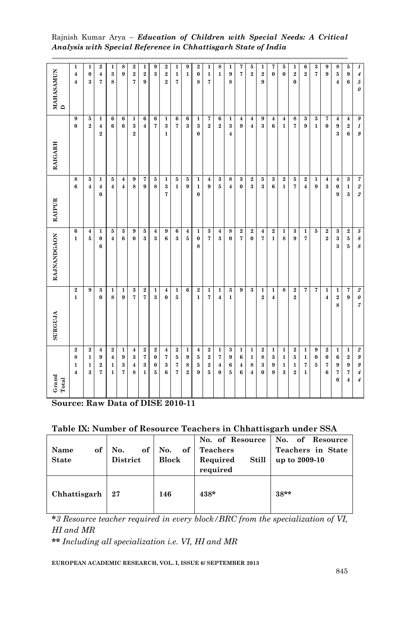| $GradTotal$                                                  | <b>SURGUJA</b>                                                     | RAJNANDGAON                                        | <b>RAIPUR</b>                                   | RAIGARH                                                | MAHASAMUN<br>D                                           |
|--------------------------------------------------------------|--------------------------------------------------------------------|----------------------------------------------------|-------------------------------------------------|--------------------------------------------------------|----------------------------------------------------------|
| 8<br>$\mathbf{1}$<br>$\overline{\mathbf{4}}$                 | $\overline{\mathbf{2}}$<br>$\mathbf{1}$<br>$\overline{\mathbf{2}}$ | 6<br>$\mathbf{1}$                                  | 8<br>6                                          | 9<br>$\bf{0}$                                          | 1<br>$\overline{\mathbf{4}}$<br>$\overline{\mathbf{4}}$  |
| $\mathbf 1$<br>$\mathbf{1}$<br>3                             | 9<br>$\bf 2$                                                       | $\overline{\mathbf{4}}$<br>5                       | $\bf 5$<br>$\overline{\mathbf{4}}$              | 5<br>$\overline{2}$                                    | $\mathbf{1}$<br>$\boldsymbol{0}$<br>3                    |
| 9<br>$\overline{\mathbf{2}}$<br>$\overline{7}$               | 3<br>$\bf{0}$<br>$\overline{\mathbf{4}}$                           | $\mathbf{1}$<br>$\pmb{0}$<br>6                     | 1<br>$\overline{\mathbf{4}}$<br>0               | $\mathbf{1}$<br>$\bf{4}$<br>$\overline{2}$             | $\boldsymbol{2}$<br>$\overline{\bf 4}$<br>$\overline{7}$ |
| $\boldsymbol{4}$<br>$\mathbf 1$<br>$\mathbf{1}$              | $\mathbf 1$<br>8<br>$\,2$                                          | $\bf 5$<br>4                                       | $\bf 5$<br>$\overline{\mathbf{4}}$              | $\overline{\mathbf{6}}$<br>6                           | $\mathbf{1}$<br>$\bf{3}$<br>8                            |
| $\boldsymbol{9}$<br>$\bf{3}$<br>7                            | $\overline{1}$<br>9<br>$\mathbf 1$                                 | $\bf{3}$<br>$\bf{6}$                               | $\boldsymbol{4}$<br>$\overline{\mathbf{4}}$     | $\overline{6}$<br>6                                    | 8<br>9                                                   |
| 3<br>$\boldsymbol{4}$<br>8                                   | $\bf{3}$<br>7<br>$\boldsymbol{4}$                                  | $\boldsymbol{9}$<br>$\bf{0}$                       | 9<br>8                                          | $\mathbf{1}$<br>3<br>$\overline{2}$                    | $\boldsymbol{2}$<br>$\bf{2}$<br>7                        |
| 7<br>3<br>$\mathbf{1}$                                       | $\bf 2$<br>7<br>$\bf 2$                                            | $\bf 5$<br>3                                       | 7<br>9                                          | $\bf{6}$<br>$\boldsymbol{4}$                           | 1<br>$\bf{2}$<br>9                                       |
| 0<br>0<br>5                                                  | $\mathbf{1}$<br>3<br>$\,2$                                         | $\boldsymbol{4}$<br>3                              | $\bf 5$<br>$\bf8$                               | $\overline{\mathbf{6}}$<br>7                           | 9<br>3                                                   |
| 7<br>3<br>6                                                  | $\boldsymbol{4}$<br>$\bf{0}$<br>$\overline{\mathbf{4}}$            | 9<br>6                                             | $\mathbf{1}$<br>$\bf{3}$<br>7                   | $\mathbf 1$<br>$\bf{3}$<br>$\mathbf{1}$                | $\bf{2}$<br>$\bf 2$<br>$\overline{\mathbf{2}}$           |
| 5<br>$\overline{7}$<br>7                                     | $\mathbf{1}$<br>5<br>$\bf 2$                                       | 6<br>3                                             | $\bf 5$<br>$\mathbf 1$                          | $\bf 6$<br>7                                           | 1<br>$\mathbf{1}$<br>7                                   |
| 9<br>8<br>$\overline{2}$                                     | 6<br>$\mathbf{1}$                                                  | $\bf{4}$<br>5                                      | 5<br>9                                          | 6<br>$\bf{3}$                                          | 9<br>$\mathbf{1}$                                        |
| 5<br>5<br>9                                                  | $\boldsymbol{2}$<br>$\mathbf{1}$<br>$\overline{\mathbf{4}}$        | $\mathbf{1}$<br>0<br>8                             | 1<br>$\mathbf{1}$<br>$\bf{0}$                   | $\mathbf{1}$<br>$\bf{3}$<br>$\bf{0}$                   | $\boldsymbol{2}$<br>$\bf{0}$<br>8                        |
| $\bf 2$<br>$\overline{\mathbf{2}}$<br>5                      | $\mathbf 1$<br>7<br>$\bf 2$                                        | $\bf{3}$<br>7                                      | $\boldsymbol{4}$<br>9                           | 7<br>$\overline{\mathbf{2}}$                           | $\mathbf 1$<br>$\mathbf 1$<br>7                          |
| 7<br>$\overline{\bf 4}$<br>$\bf{0}$                          | $\mathbf 1$<br>$\overline{\bf 4}$<br>$\mathbf 1$                   | $\overline{\mathbf{4}}$<br>$\bf{3}$                | $\bf{3}$<br>$\bf 5$                             | $\bf 6$<br>$\boldsymbol{2}$                            | 8<br>$\mathbf{1}$                                        |
| 9<br>6<br>$\bf 5$                                            | $\bf{3}$<br>$\mathbf{1}$<br>$\bf{3}$                               | $\bf8$<br>$\bf{0}$                                 | $\bf8$<br>$\overline{\mathbf{4}}$               | $\mathbf 1$<br>$\bf{3}$<br>$\overline{4}$              | 1<br>9<br>8                                              |
| 6<br>$\boldsymbol{4}$<br>6                                   | 9<br>$\mathbf{1}$                                                  | $\bf 2$<br>$\overline{7}$                          | $\bf{3}$<br>$\pmb{0}$                           | $\boldsymbol{4}$<br>9                                  | 7<br>$\overline{7}$                                      |
| $\mathbf 1$<br>8<br>$\boldsymbol{4}$                         | $\bf{3}$<br>$\mathbf 1$                                            | $\bf 2$<br>$\bf{0}$                                | $\bf 2$<br>$\bf{3}$                             | $\overline{\mathbf{4}}$<br>$\overline{\mathbf{4}}$     | 5<br>$\overline{2}$                                      |
| 8<br>3<br>0                                                  | $\mathbf{1}$<br>$\boldsymbol{2}$<br>$\overline{\mathbf{2}}$        | $\overline{\mathbf{4}}$<br>7                       | $\bf 5$<br>$\bf{3}$                             | $\overline{9}$<br>$\bf{3}$                             | 1<br>$\overline{\mathbf{2}}$<br>9                        |
| 3<br>9<br>9                                                  | $\mathbf{1}$<br>$\overline{\mathbf{4}}$<br>$\mathbf 1$             | $\bf 2$<br>$\mathbf{1}$                            | $\bf{3}$<br>6                                   | $\boldsymbol{4}$<br>6                                  | 7<br>$\bf{0}$                                            |
| 1<br>$\mathbf{1}$<br>3                                       | 8<br>$\mathbf 1$                                                   | $\mathbf{1}$<br>$\bf8$                             | $\,2\,$<br>$\mathbf{1}$                         | $\overline{\mathbf{4}}$<br>$\mathbf{1}$                | 5<br>$\bf{0}$                                            |
| 5<br>$\mathbf{1}$<br>$\overline{\mathbf{2}}$                 | $\bf 2$<br>2<br>$\bf 2$                                            | $\bf{3}$<br>9                                      | $\bf 5$<br>7                                    | $\overline{\mathbf{8}}$<br>7                           | 1<br>$\bf 2$<br>$\bf{0}$                                 |
| $\mathbf{1}$<br>7<br>1                                       | 7<br>$\mathbf 1$                                                   | $\mathbf{1}$<br>7                                  | $\bf 2$<br>$\overline{\mathbf{4}}$              | $\bf{3}$<br>9                                          | 6<br>$\overline{2}$                                      |
| $\boldsymbol{0}$<br>5                                        | $\overline{7}$<br>9                                                | $\bf 5$                                            | $\mathbf{1}$<br>$\boldsymbol{9}$                | $\overline{\mathbf{3}}$<br>1                           | 3<br>$\overline{7}$                                      |
| $\bf{0}$<br>$\overline{7}$<br>6                              | $\mathbf 1$<br>$\overline{4}$<br>$\bf 2$                           | $\bf 2$<br>$\overline{2}$                          | $\bf{4}$<br>$\bf{3}$                            | $\overline{7}$<br>$\bf{0}$                             | 9<br>9                                                   |
| $\bf{6}$<br>9<br>7<br>$\bf{0}$                               | $\mathbf{1}$<br>$\bf 2$<br>8<br>$\mathbf 1$                        | $\bf{3}$<br>$\bf{3}$<br>$\bf{3}$                   | $\overline{\bf 4}$<br>$\pmb{0}$<br>9            | $\boldsymbol{4}$<br>$\boldsymbol{9}$<br>3              | 8<br>5<br>$\overline{\mathbf{4}}$                        |
| $\overline{\mathbf{2}}$<br>9<br>7<br>$\overline{\mathbf{4}}$ | 7<br>9<br>$\mathbf 1$                                              | $\bf 2$<br>$\bf 5$<br>$\overline{\mathbf{5}}$      | $\bf{3}$<br>$\mathbf 1$<br>3                    | $\overline{\mathbf{4}}$<br>$\bf{2}$<br>6               | $\bf{5}$<br>9<br>6                                       |
| $\pmb{g}$<br>$\pmb{g}$<br>$\boldsymbol{4}$<br>$\pmb{4}$      | $\sqrt{2}$<br>$\pmb{\theta}$<br>$\boldsymbol{7}$<br>$\it 2$        | $\sqrt{5}$<br>$\boldsymbol{s}$<br>$\boldsymbol{s}$ | $\boldsymbol{7}$<br>$\boldsymbol{2}$<br>$\it 2$ | $\overline{g}$<br>$\boldsymbol{1}$<br>$\boldsymbol{g}$ | 1<br>$\pmb{4}$<br>$\sqrt{s}$<br>$\theta$                 |

Rajnish Kumar Arya – *Education of Children with Special Needs: A Critical Analysis with Special Reference in Chhattisgarh State of India*

**Source: Raw Data of DISE 2010-11**

| Table IX: Number of Resource Teachers in Chhattisgarh under SSA |  |  |  |
|-----------------------------------------------------------------|--|--|--|
|-----------------------------------------------------------------|--|--|--|

| of<br>Name<br><b>State</b> | No.<br>District | of $\vert$ No.<br><b>Block</b> | of Teachers<br>Required<br>Still<br>required | No. of Resource   No. of Resource<br>Teachers in State<br>up to 2009-10 |
|----------------------------|-----------------|--------------------------------|----------------------------------------------|-------------------------------------------------------------------------|
| Chhattisgarh               | $\sqrt{27}$     | 146                            | $438*$                                       | $38**$                                                                  |

**\****3 Resource teacher required in every block/BRC from the specialization of VI, HI and MR*

**\*\*** *Including all specialization i.e. VI, HI and MR*

**EUROPEAN ACADEMIC RESEARCH, VOL. I, ISSUE 6/ SEPTEMBER 2013**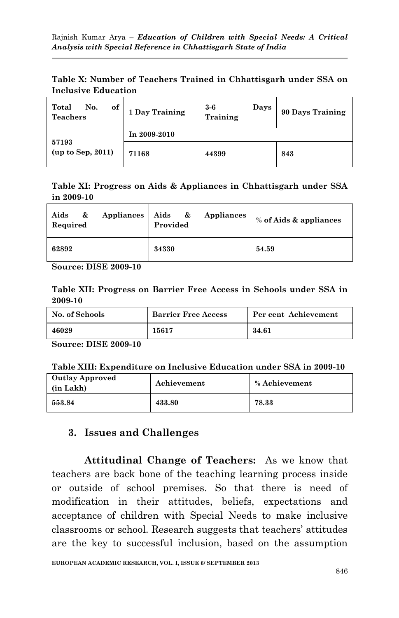|                            |  |  | Table X: Number of Teachers Trained in Chhattisgarh under SSA on |  |  |
|----------------------------|--|--|------------------------------------------------------------------|--|--|
| <b>Inclusive Education</b> |  |  |                                                                  |  |  |

| of<br>Total<br>No.<br><b>Teachers</b> | 1 Day Training | $3-6$<br>Days<br>Training | 90 Days Training |
|---------------------------------------|----------------|---------------------------|------------------|
|                                       | In 2009-2010   |                           |                  |
| 57193<br>(up to Sep, 2011)            | 71168          | 44399                     | 843              |

### **Table XI: Progress on Aids & Appliances in Chhattisgarh under SSA in 2009-10**

| Appliances<br>Aids<br>&<br>Required | Aids &<br>Appliances<br>Provided | % of Aids & appliances |
|-------------------------------------|----------------------------------|------------------------|
| 62892                               | 34330                            | 54.59                  |

**Source: DISE 2009-10**

**Table XII: Progress on Barrier Free Access in Schools under SSA in 2009-10**

| No. of Schools | <b>Barrier Free Access</b> | Per cent Achievement |
|----------------|----------------------------|----------------------|
| 46029          | 15617                      | 34.61                |

**Source: DISE 2009-10**

| <b>Outlay Approved</b><br>(in Lakh) | Achievement | % Achievement |
|-------------------------------------|-------------|---------------|
| $\boldsymbol{553.84}$               | 433.80      | 78.33         |

## **3. Issues and Challenges**

**Attitudinal Change of Teachers:** As we know that teachers are back bone of the teaching learning process inside or outside of school premises. So that there is need of modification in their attitudes, beliefs, expectations and acceptance of children with Special Needs to make inclusive classrooms or school. Research suggests that teachers' attitudes are the key to successful inclusion, based on the assumption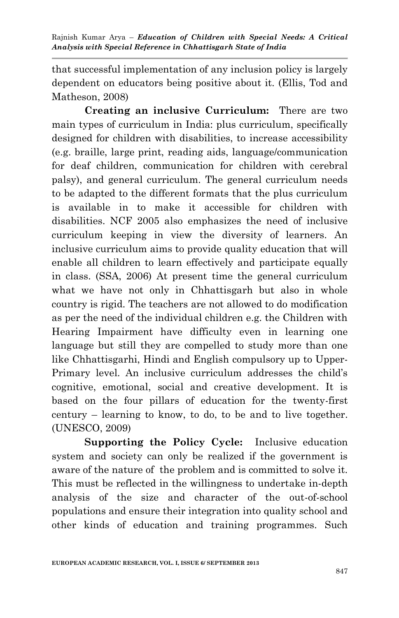that successful implementation of any inclusion policy is largely dependent on educators being positive about it. (Ellis, Tod and Matheson, 2008)

**Creating an inclusive Curriculum:** There are two main types of curriculum in India: plus curriculum, specifically designed for children with disabilities, to increase accessibility (e.g. braille, large print, reading aids, language/communication for deaf children, communication for children with cerebral palsy), and general curriculum. The general curriculum needs to be adapted to the different formats that the plus curriculum is available in to make it accessible for children with disabilities. NCF 2005 also emphasizes the need of inclusive curriculum keeping in view the diversity of learners. An inclusive curriculum aims to provide quality education that will enable all children to learn effectively and participate equally in class. (SSA, 2006) At present time the general curriculum what we have not only in Chhattisgarh but also in whole country is rigid. The teachers are not allowed to do modification as per the need of the individual children e.g. the Children with Hearing Impairment have difficulty even in learning one language but still they are compelled to study more than one like Chhattisgarhi, Hindi and English compulsory up to Upper-Primary level. An inclusive curriculum addresses the child's cognitive, emotional, social and creative development. It is based on the four pillars of education for the twenty-first century – learning to know, to do, to be and to live together. (UNESCO, 2009)

**Supporting the Policy Cycle:** Inclusive education system and society can only be realized if the government is aware of the nature of the problem and is committed to solve it. This must be reflected in the willingness to undertake in-depth analysis of the size and character of the out-of-school populations and ensure their integration into quality school and other kinds of education and training programmes. Such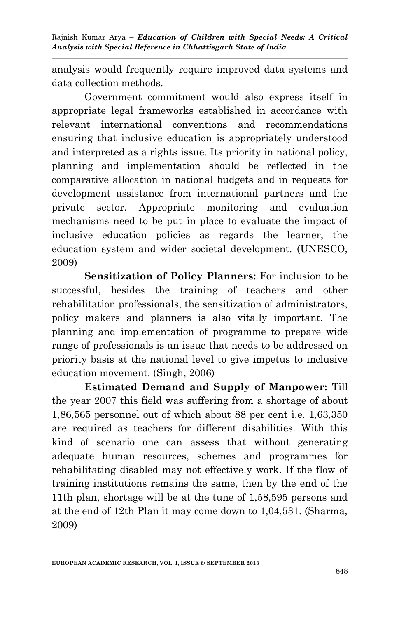analysis would frequently require improved data systems and data collection methods.

Government commitment would also express itself in appropriate legal frameworks established in accordance with relevant international conventions and recommendations ensuring that inclusive education is appropriately understood and interpreted as a rights issue. Its priority in national policy, planning and implementation should be reflected in the comparative allocation in national budgets and in requests for development assistance from international partners and the private sector. Appropriate monitoring and evaluation mechanisms need to be put in place to evaluate the impact of inclusive education policies as regards the learner, the education system and wider societal development. (UNESCO, 2009)

**Sensitization of Policy Planners:** For inclusion to be successful, besides the training of teachers and other rehabilitation professionals, the sensitization of administrators, policy makers and planners is also vitally important. The planning and implementation of programme to prepare wide range of professionals is an issue that needs to be addressed on priority basis at the national level to give impetus to inclusive education movement. (Singh, 2006)

**Estimated Demand and Supply of Manpower:** Till the year 2007 this field was suffering from a shortage of about 1,86,565 personnel out of which about 88 per cent i.e. 1,63,350 are required as teachers for different disabilities. With this kind of scenario one can assess that without generating adequate human resources, schemes and programmes for rehabilitating disabled may not effectively work. If the flow of training institutions remains the same, then by the end of the 11th plan, shortage will be at the tune of 1,58,595 persons and at the end of 12th Plan it may come down to 1,04,531. (Sharma, 2009)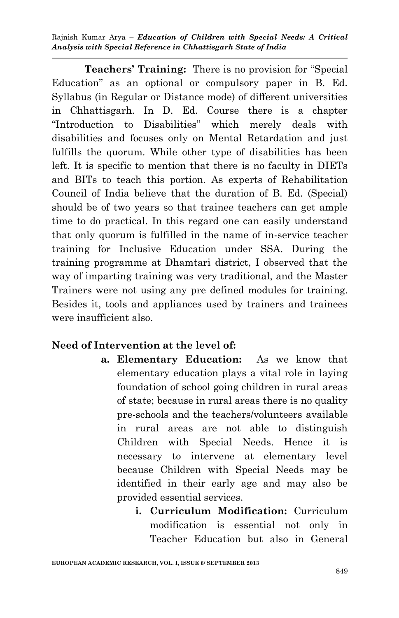**Teachers' Training:** There is no provision for "Special" Education" as an optional or compulsory paper in B. Ed. Syllabus (in Regular or Distance mode) of different universities in Chhattisgarh. In D. Ed. Course there is a chapter "Introduction to Disabilities" which merely deals with disabilities and focuses only on Mental Retardation and just fulfills the quorum. While other type of disabilities has been left. It is specific to mention that there is no faculty in DIETs and BITs to teach this portion. As experts of Rehabilitation Council of India believe that the duration of B. Ed. (Special) should be of two years so that trainee teachers can get ample time to do practical. In this regard one can easily understand that only quorum is fulfilled in the name of in-service teacher training for Inclusive Education under SSA. During the training programme at Dhamtari district, I observed that the way of imparting training was very traditional, and the Master Trainers were not using any pre defined modules for training. Besides it, tools and appliances used by trainers and trainees were insufficient also.

## **Need of Intervention at the level of:**

- **a. Elementary Education:** As we know that elementary education plays a vital role in laying foundation of school going children in rural areas of state; because in rural areas there is no quality pre-schools and the teachers/volunteers available in rural areas are not able to distinguish Children with Special Needs. Hence it is necessary to intervene at elementary level because Children with Special Needs may be identified in their early age and may also be provided essential services.
	- **i. Curriculum Modification:** Curriculum modification is essential not only in Teacher Education but also in General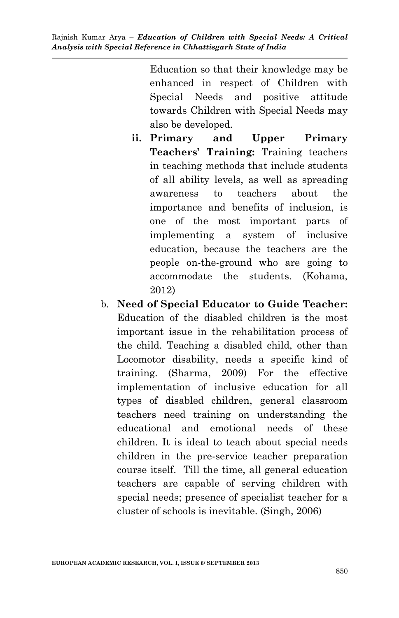> Education so that their knowledge may be enhanced in respect of Children with Special Needs and positive attitude towards Children with Special Needs may also be developed.

- **ii. Primary and Upper Primary Teachers' Training:** Training teachers in teaching methods that include students of all ability levels, as well as spreading awareness to teachers about the importance and benefits of inclusion, is one of the most important parts of implementing a system of inclusive education, because the teachers are the people on-the-ground who are going to accommodate the students. (Kohama, 2012)
- b. **Need of Special Educator to Guide Teacher:**  Education of the disabled children is the most important issue in the rehabilitation process of the child. Teaching a disabled child, other than Locomotor disability, needs a specific kind of training. (Sharma, 2009) For the effective implementation of inclusive education for all types of disabled children, general classroom teachers need training on understanding the educational and emotional needs of these children. It is ideal to teach about special needs children in the pre-service teacher preparation course itself. Till the time, all general education teachers are capable of serving children with special needs; presence of specialist teacher for a cluster of schools is inevitable. (Singh, 2006)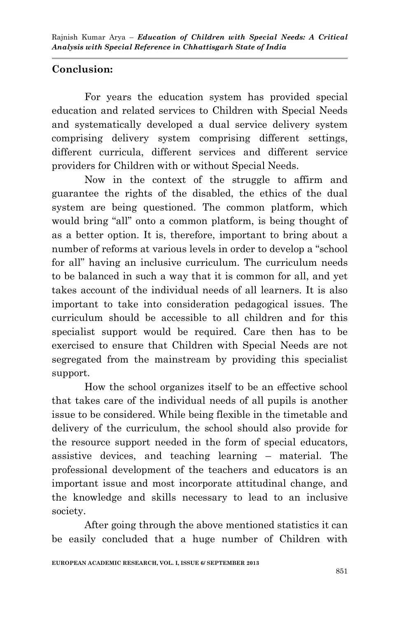# **Conclusion:**

For years the education system has provided special education and related services to Children with Special Needs and systematically developed a dual service delivery system comprising delivery system comprising different settings, different curricula, different services and different service providers for Children with or without Special Needs.

Now in the context of the struggle to affirm and guarantee the rights of the disabled, the ethics of the dual system are being questioned. The common platform, which would bring "all" onto a common platform, is being thought of as a better option. It is, therefore, important to bring about a number of reforms at various levels in order to develop a "school" for all" having an inclusive curriculum. The curriculum needs to be balanced in such a way that it is common for all, and yet takes account of the individual needs of all learners. It is also important to take into consideration pedagogical issues. The curriculum should be accessible to all children and for this specialist support would be required. Care then has to be exercised to ensure that Children with Special Needs are not segregated from the mainstream by providing this specialist support.

How the school organizes itself to be an effective school that takes care of the individual needs of all pupils is another issue to be considered. While being flexible in the timetable and delivery of the curriculum, the school should also provide for the resource support needed in the form of special educators, assistive devices, and teaching learning – material. The professional development of the teachers and educators is an important issue and most incorporate attitudinal change, and the knowledge and skills necessary to lead to an inclusive society.

After going through the above mentioned statistics it can be easily concluded that a huge number of Children with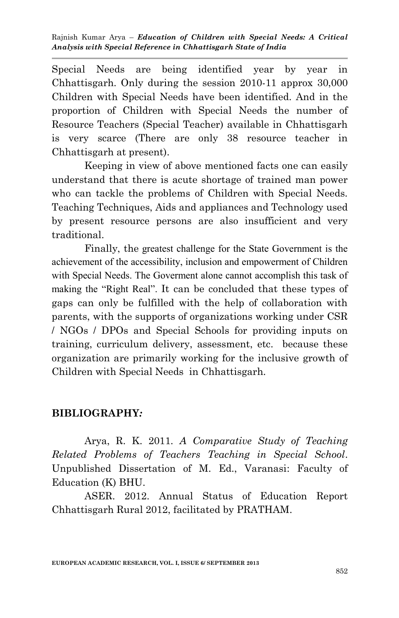Special Needs are being identified year by year in Chhattisgarh. Only during the session 2010-11 approx 30,000 Children with Special Needs have been identified. And in the proportion of Children with Special Needs the number of Resource Teachers (Special Teacher) available in Chhattisgarh is very scarce (There are only 38 resource teacher in Chhattisgarh at present).

Keeping in view of above mentioned facts one can easily understand that there is acute shortage of trained man power who can tackle the problems of Children with Special Needs. Teaching Techniques, Aids and appliances and Technology used by present resource persons are also insufficient and very traditional.

Finally, the greatest challenge for the State Government is the achievement of the accessibility, inclusion and empowerment of Children with Special Needs. The Goverment alone cannot accomplish this task of making the "Right Real". It can be concluded that these types of gaps can only be fulfilled with the help of collaboration with parents, with the supports of organizations working under CSR / NGOs / DPOs and Special Schools for providing inputs on training, curriculum delivery, assessment, etc. because these organization are primarily working for the inclusive growth of Children with Special Needs in Chhattisgarh.

## **BIBLIOGRAPHY***:*

Arya, R. K. 2011. *A Comparative Study of Teaching Related Problems of Teachers Teaching in Special School*. Unpublished Dissertation of M. Ed., Varanasi: Faculty of Education (K) BHU.

ASER. 2012. Annual Status of Education Report Chhattisgarh Rural 2012, facilitated by PRATHAM.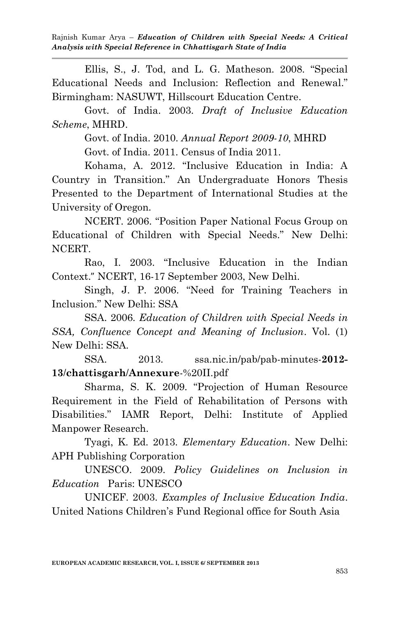Ellis, S., J. Tod, and L. G. Matheson. 2008. "Special Educational Needs and Inclusion: Reflection and Renewal." Birmingham: NASUWT, Hillscourt Education Centre.

Govt. of India. 2003. *Draft of Inclusive Education Scheme*, MHRD.

Govt. of India. 2010. *Annual Report 2009-10*, MHRD

Govt. of India. 2011. Census of India 2011.

Kohama, A. 2012. "Inclusive Education in India: A Country in Transition." An Undergraduate Honors Thesis Presented to the Department of International Studies at the University of Oregon.

NCERT. 2006. "Position Paper National Focus Group on Educational of Children with Special Needs." New Delhi: NCERT.

Rao, I. 2003. "Inclusive Education in the Indian Context." NCERT, 16-17 September 2003, New Delhi.

Singh, J. P. 2006. "Need for Training Teachers in Inclusion." New Delhi: SSA

SSA. 2006. *Education of Children with Special Needs in SSA, Confluence Concept and Meaning of Inclusion*. Vol. (1) New Delhi: SSA.

SSA. 2013. ssa.nic.in/pab/pab-minutes-**2012- 13**/**chattisgarh**/**Annexure**-%20II.pdf

Sharma, S. K. 2009. "Projection of Human Resource Requirement in the Field of Rehabilitation of Persons with Disabilities." IAMR Report, Delhi: Institute of Applied Manpower Research.

Tyagi, K. Ed. 2013. *Elementary Education*. New Delhi: APH Publishing Corporation

UNESCO. 2009. *Policy Guidelines on Inclusion in Education* Paris: UNESCO

UNICEF. 2003. *Examples of Inclusive Education India*. United Nations Children's Fund Regional office for South Asia